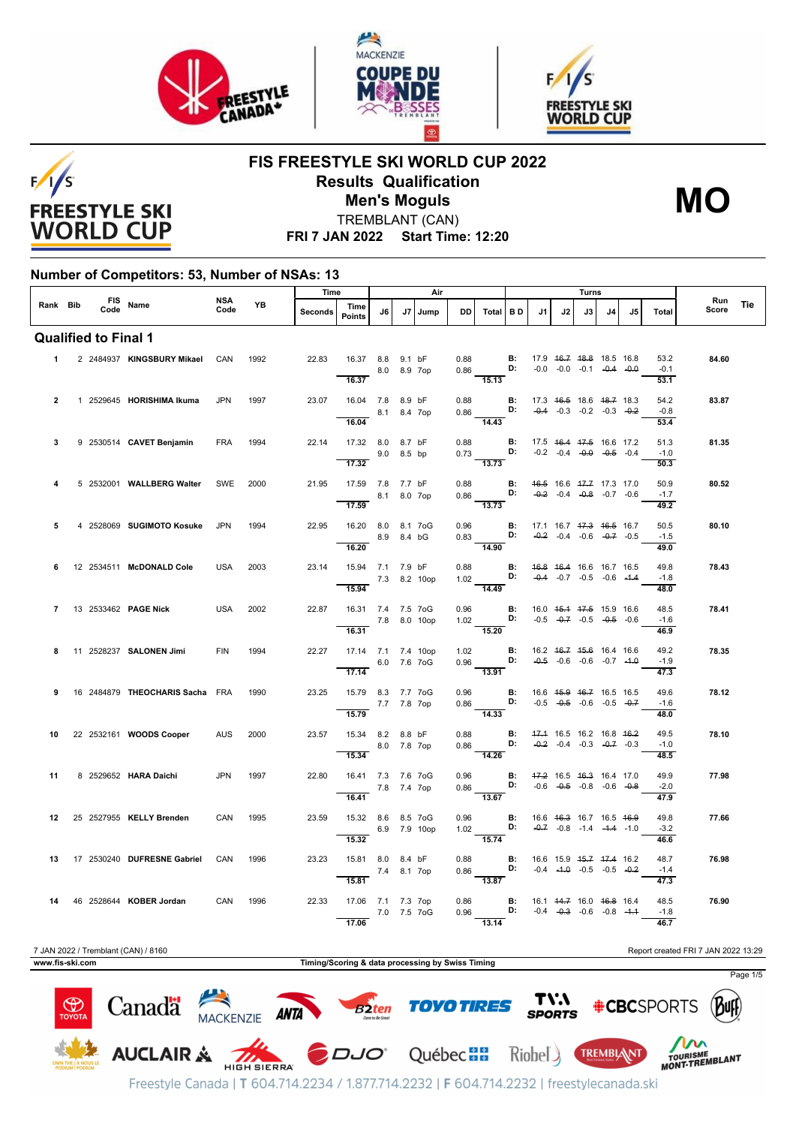





**FIS FREESTYLE SKI WORLD CUP 2022 Results Qualification**



TREMBLANT (CAN) **Men's Moguls MO**

**FRI 7 JAN 2022 Start Time: 12:20**

#### **Number of Competitors: 53, Number of NSAs: 13**

|                 |  |      |                                     | <b>NSA</b> | Time      |                                                  |                                                         |             | Air         |              |              |                                                                    |                 |    | Turns |                                                                                      |    |    |                                    |                                     |     |
|-----------------|--|------|-------------------------------------|------------|-----------|--------------------------------------------------|---------------------------------------------------------|-------------|-------------|--------------|--------------|--------------------------------------------------------------------|-----------------|----|-------|--------------------------------------------------------------------------------------|----|----|------------------------------------|-------------------------------------|-----|
| Rank Bib        |  | Code | FIS Name                            | Code       | <b>YB</b> | <b>Seconds</b>                                   | Time<br><b>Points</b>                                   | J6          | J7          | Jump         | <b>DD</b>    | Total                                                              | <b>BD</b>       | J1 | J2    | J3                                                                                   | J4 | J5 | <b>Total</b>                       | Run<br>Score                        | Tie |
|                 |  |      | <b>Qualified to Final 1</b>         |            |           |                                                  |                                                         |             |             |              |              |                                                                    |                 |    |       |                                                                                      |    |    |                                    |                                     |     |
| 1.              |  |      | 2 2484937 KINGSBURY Mikael          | CAN        | 1992      | 22.83                                            | 16.37 8.8 9.1 bF<br>16.37                               | 8.0 8.9 7op |             |              | 0.88<br>0.86 | $\frac{1}{15.13}$                                                  | D:              |    |       | <b>B:</b> 17.9 46.7 48.8 18.5 16.8<br>$-0.0$ $-0.0$ $-0.1$ $-0.4$ $-0.0$             |    |    | 53.2<br>$-0.1$<br>53.1             | 84.60                               |     |
| $\overline{2}$  |  |      | 1 2529645 HORISHIMA Ikuma           | <b>JPN</b> | 1997      | 23.07                                            | 16.04 7.8 8.9 bF<br>16.04                               | 8.1 8.4 7op |             |              | 0.88<br>0.86 | $\frac{1}{14.43}$                                                  | D:              |    |       | <b>B:</b> 17.3 46.5 18.6 48.7 18.3<br>$-0.4$ $-0.3$ $-0.2$ $-0.3$ $-0.2$             |    |    | 54.2<br>$-0.8$<br>53.4             | 83.87                               |     |
| 3               |  |      | 9 2530514 CAVET Benjamin            | <b>FRA</b> | 1994      | 22.14                                            | 17.32 8.0 8.7 bF<br>17.32                               |             | 9.0 8.5 bp  |              | 0.88<br>0.73 | B:<br>D:<br>$\overline{13.73}$                                     | B:              |    |       | 17.5 46.4 47.5 16.6 17.2<br>$-0.2$ $-0.4$ $-0.0$ $-0.5$ $-0.4$                       |    |    | 51.3<br>$-1.0$<br>50.3             | 81.35                               |     |
|                 |  |      | 5 2532001 WALLBERG Walter           | SWE        | 2000      | 21.95                                            | 17.59 7.8 7.7 bF<br>8.1 8.0 7op<br>17.59                |             |             |              | 0.88         | $0.86$ D:<br>13.73                                                 | <b>B:</b>       |    |       | 46.5 16.6 47.7 17.3 17.0<br>$-0.2$ $-0.4$ $-0.8$ $-0.7$ $-0.6$                       |    |    | 50.9<br>$-1.7$<br>49.2             | 80.52                               |     |
| 5               |  |      | 4 2528069 SUGIMOTO Kosuke           | <b>JPN</b> | 1994      | 22.95                                            | 16.20 8.0 8.1 7oG<br>16.20                              |             | 8.9 8.4 bG  |              | 0.96         | $0.83$ D:<br>14.90                                                 |                 |    |       | <b>B:</b> 17.1 16.7 47.3 46.5 16.7<br>$-0.2$ $-0.4$ $-0.6$ $-0.7$ $-0.5$             |    |    | 50.5<br>$-1.5$<br>49.0             | 80.10                               |     |
| 6               |  |      | 12 2534511 McDONALD Cole            | <b>USA</b> | 2003      | 23.14                                            | 15.94 7.1 7.9 bF<br>15.94                               |             |             | 7.3 8.2 10op | 0.88<br>1.02 | D:<br>14.49                                                        | B:              |    |       | 46.8 46.4 16.6 16.7 16.5<br>$-0.4$ $-0.7$ $-0.5$ $-0.6$ $-1.4$                       |    |    | 49.8<br>$-1.8$<br>48.0             | 78.43                               |     |
| $\overline{7}$  |  |      | 13 2533462 PAGE Nick                | <b>USA</b> | 2002      | 22.87                                            | 16.31 7.4 7.5 7oG<br>7.8 8.0 10op<br>16.31              |             |             |              | 0.96<br>1.02 | $\frac{1}{15.20}$                                                  | <b>B:</b><br>D: |    |       | 16.0 45.4 47.5 15.9 16.6<br>$-0.5$ $-0.7$ $-0.5$ $-0.5$ $-0.6$                       |    |    | 48.5<br>$-1.6$<br>46.9             | 78.41                               |     |
| 8               |  |      | 11 2528237 SALONEN Jimi             | <b>FIN</b> | 1994      | 22.27                                            | 17.14 7.1 7.4 10op<br>6.0 7.6 7oG<br>$\overline{17.14}$ |             |             |              |              | 1.02 <b>B:</b><br>0.96 <b>D:</b><br>$\frac{1}{13.91}$              |                 |    |       | <b>B:</b> 16.2 46.7 45.6 16.4 16.6<br>$-0.5$ $-0.6$ $-0.6$ $-0.7$ $-1.0$             |    |    | 49.2<br>$-1.9$<br>47.3             | 78.35                               |     |
| 9               |  |      | 16 2484879 THEOCHARIS Sacha FRA     |            | 1990      | 23.25                                            | 15.79 8.3 7.7 7oG<br>15.79                              | 7.7 7.8 7op |             |              | 0.96<br>0.86 | D:<br>$-14.33$                                                     | <b>B:</b>       |    |       | 16.6 45.9 46.7 16.5 16.5<br>$-0.5$ $-0.5$ $-0.6$ $-0.5$ $-0.7$                       |    |    | 49.6<br>$-1.6$<br>48.0             | 78.12                               |     |
| 10              |  |      | 22 2532161 WOODS Cooper             | <b>AUS</b> | 2000      | 23.57                                            | 15.34 8.2 8.8 bF<br>15.34                               |             | 8.0 7.8 7op |              | 0.88<br>0.86 | $\mathbf{D}$<br>$\frac{1}{14.26}$                                  | B:              |    |       | 47.4 16.5 16.2 16.8 46.2<br>$-0.2$ $-0.4$ $-0.3$ $-0.7$ $-0.3$                       |    |    | 49.5<br>$-1.0$<br>48.5             | 78.10                               |     |
| 11              |  |      | 8 2529652 HARA Daichi               | <b>JPN</b> | 1997      | 22.80                                            | 16.41 7.3 7.6 7oG<br>7.8 7.4 7op<br>16.41               |             |             |              | 0.96         | $0.86$ D: $-0.6$ $-0.5$ $-0.8$ $-0.6$ $-0.8$<br>$\overline{13.67}$ |                 |    |       | <b>B:</b> 47.2 16.5 46.3 16.4 17.0                                                   |    |    | 49.9<br>$-2.0$<br>$\frac{47.9}{ }$ | 77.98                               |     |
| 12              |  |      | 25 2527955 KELLY Brenden            | CAN        | 1995      | 23.59                                            | 15.32 8.6 8.5 7oG<br>15.32                              |             |             | 6.9 7.9 10op | 0.96<br>1.02 | D:<br>15.74                                                        |                 |    |       | <b>B:</b> 16.6 46.3 16.7 16.5 46.9<br>$-0.7$ $-0.8$ $-1.4$ $-1.4$ $-1.0$             |    |    | 49.8<br>$-3.2$<br>46.6             | 77.66                               |     |
| 13              |  |      | 17 2530240 DUFRESNE Gabriel         | CAN        | 1996      | 23.23                                            | 15.81 8.0 8.4 bF<br>15.81                               | 7.4 8.1 7op |             |              | 0.88<br>0.86 | $D:$ $D:$<br>$\overline{13.87}$                                    | <b>B:</b>       |    |       | 16.6 15.9 <del>15.7</del> <del>17.4</del> 16.2<br>$-0.4$ $-4.0$ $-0.5$ $-0.5$ $-0.2$ |    |    | 48.7<br>$-1.4$<br>47.3             | 76.98                               |     |
| 14              |  |      | 46 2528644 KOBER Jordan             | CAN        | 1996      | 22.33                                            | 17.06 7.1 7.3 7op<br>7.0 7.5 7 oG<br>17.06              |             |             |              | 0.86<br>0.96 | $D:$ $-0.4$ $-0.3$ $-0.6$ $-0.8$ $-4.4$<br>13.14                   |                 |    |       | <b>B:</b> 16.1 44.7 16.0 46.8 16.4                                                   |    |    | 48.5<br>$-1.8$<br>46.7             | 76.90                               |     |
| www.fis-ski.com |  |      | 7 JAN 2022 / Tremblant (CAN) / 8160 |            |           | Timing/Scoring & data processing by Swiss Timing |                                                         |             |             |              |              |                                                                    |                 |    |       |                                                                                      |    |    |                                    | Report created FRI 7 JAN 2022 13:29 |     |

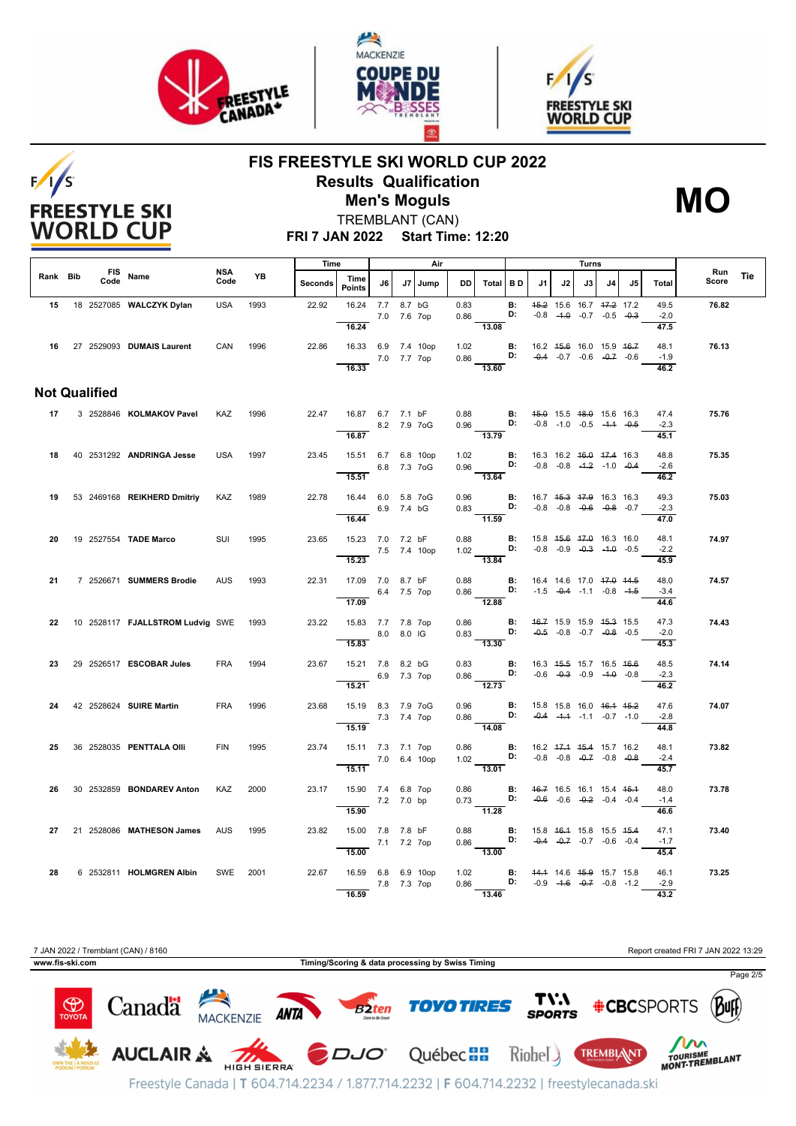

 $F/1/S$ 

**FREESTYLE SKI WORLD CUP** 





## **FIS FREESTYLE SKI WORLD CUP 2022 Results Qualification Men's Moguls MO**



TREMBLANT (CAN)

**FRI 7 JAN 2022 Start Time: 12:20**

|          |  |                      |                                       | NSA        |      | Time    |                                                         |             |    | Air         |                  |                                                                                                                                |                 |                                                                                                |    | Turns |                                                                           |    |                        |              |     |
|----------|--|----------------------|---------------------------------------|------------|------|---------|---------------------------------------------------------|-------------|----|-------------|------------------|--------------------------------------------------------------------------------------------------------------------------------|-----------------|------------------------------------------------------------------------------------------------|----|-------|---------------------------------------------------------------------------|----|------------------------|--------------|-----|
| Rank Bib |  | Code                 | FIS Name                              | Code       | YB   | Seconds | Time<br><b>Points</b>                                   | J6          | J7 | Jump        | DD               | Total BD                                                                                                                       |                 | J1                                                                                             | J2 | J3 I  | J4 l                                                                      | J5 | Total                  | Run<br>Score | Tie |
|          |  |                      | 15 18 2527085 WALCZYK Dylan           | <b>USA</b> | 1993 | 22.92   | 16.24 7.7 8.7 bG<br>16.24                               | 7.0 7.6 7op |    |             | 0.83<br>0.86     | 13.08                                                                                                                          | <b>B:</b><br>D: |                                                                                                |    |       | 45.2 15.6 16.7 47.2 17.2<br>$-0.8$ $-4.0$ $-0.7$ $-0.5$ $-0.3$            |    | 49.5<br>$-2.0$<br>47.5 | 76.82        |     |
|          |  |                      | 16 27 2529093 DUMAIS Laurent          | CAN        | 1996 | 22.86   | 16.33 6.9 7.4 10op<br>16.33                             | 7.0 7.7 7op |    |             | 1.02             | $0.86$ D: $-0.4$ -0.7 -0.6 -0.7 -0.6<br>13.60                                                                                  |                 | <b>B:</b> 16.2 45.6 16.0 15.9 46.7                                                             |    |       |                                                                           |    | 48.1<br>$-1.9$<br>46.2 | 76.13        |     |
|          |  | <b>Not Qualified</b> |                                       |            |      |         |                                                         |             |    |             |                  |                                                                                                                                |                 |                                                                                                |    |       |                                                                           |    |                        |              |     |
| 17       |  |                      | 3 2528846 KOLMAKOV Pavel              | KAZ        | 1996 | 22.47   | 16.87 6.7 7.1 bF                                        | 8.2 7.9 7oG |    |             |                  | 0.88 <b>B:</b> 45.0 15.5 48.0 15.6 16.3<br>0.96 <b>D:</b> $-0.8$ -1.0 $-0.5$ -1.4 $-0.5$                                       |                 |                                                                                                |    |       |                                                                           |    | 47.4<br>$-2.3$         | 75.76        |     |
|          |  |                      | 18 40 2531292 ANDRINGA Jesse          | <b>USA</b> | 1997 | 23.45   | 16.87<br>15.51 6.7 6.8 10op                             |             |    |             | and the contract | 13.79                                                                                                                          |                 | 16.3 16.2 <del>16.0</del> 17.4 16.3                                                            |    |       |                                                                           |    | 45.1<br>48.8           | 75.35        |     |
|          |  |                      |                                       |            |      |         | 15.51                                                   |             |    | 6.8 7.3 7oG |                  | 1.02 <b>B:</b><br>0.96 <b>D:</b><br>$\overline{13.64}$                                                                         |                 |                                                                                                |    |       | $-0.8$ $-0.8$ $-4.2$ $-1.0$ $-0.4$                                        |    | $-2.6$<br>46.2         |              |     |
| 19       |  |                      | 53 2469168 REIKHERD Dmitriy           | <b>KAZ</b> | 1989 | 22.78   | 16.44 6.0 5.8 7oG<br>16.44                              | 6.9 7.4 bG  |    |             |                  | 0.96<br>$0.83$ D: $-0.8$ $-0.8$ $-0.8$ $-0.6$ $-0.8$ $-0.7$<br>$-11.59$                                                        |                 | <b>B:</b> 16.7 4 <del>5.3 47.9</del> 16.3 16.3                                                 |    |       |                                                                           |    | 49.3<br>$-2.3$<br>47.0 | 75.03        |     |
| 20       |  |                      | 19 2527554 <b>TADE Marco</b>          | SUI        | 1995 | 23.65   | 15.23 7.0 7.2 bF<br>7.5 7.4 10op<br>15.23               |             |    |             |                  | $0.88$ B:<br>1.02 <b>D:</b><br>13.84                                                                                           |                 | 15.8 <del>15.6 17.0</del> 16.3 16.0                                                            |    |       | $-0.8$ $-0.9$ $-0.3$ $-1.0$ $-0.5$                                        |    | 48.1<br>$-2.2$<br>45.9 | 74.97        |     |
| 21       |  |                      | 7 2526671 SUMMERS Brodie              | <b>AUS</b> | 1993 | 22.31   | 17.09 7.0 8.7 bF<br>6.4 7.5 7op<br>17.09                |             |    |             |                  | 0.88 <b>B:</b> 16.4 14.6 17.0 <del>17.0</del> 14.5<br>0.86 <b>D</b> : $-1.5$ $-0.4$ $-1.1$ $-0.8$ $-1.5$<br>$\overline{12.88}$ |                 |                                                                                                |    |       |                                                                           |    | 48.0<br>$-3.4$<br>44.6 | 74.57        |     |
| 22       |  |                      | 10 2528117 FJALLSTROM Ludvig SWE 1993 |            |      | 23.22   | 15.83 7.7 7.8 7op<br>8.0 8.0 IG<br>15.83                |             |    |             | 0.86             | $0.83$ D:<br>13.30                                                                                                             | <b>B:</b>       |                                                                                                |    |       | 46.7 15.9 15.9 45.3 15.5<br>$-0.5$ $-0.8$ $-0.7$ $-0.8$ $-0.5$            |    | 47.3<br>$-2.0$<br>45.3 | 74.43        |     |
| 23       |  |                      | 29 2526517 ESCOBAR Jules              | <b>FRA</b> | 1994 | 23.67   | 15.21 7.8 8.2 bG<br>6.9 7.3 7op<br>15.21                |             |    |             | 0.83             | $0.86$ D: $-0.6$ $-0.3$ $-0.9$ $-1.0$ $-0.8$                                                                                   | <b>B:</b>       | 16.3 45.5 15.7 16.5 46.6                                                                       |    |       |                                                                           |    | 48.5<br>$-2.3$<br>46.2 | 74.14        |     |
| 24       |  |                      | 42 2528624 SUIRE Martin               | <b>FRA</b> | 1996 | 23.68   | 15.19 8.3 7.9 7oG<br>7.3 7.4 7op<br>15.19               |             |    |             | 0.96             | $0.86$ D:<br>14.08                                                                                                             | B:              |                                                                                                |    |       | 15.8 15.8 16.0 <del>16.1 15.2</del><br>$-0.4$ $-4.4$ $-1.1$ $-0.7$ $-1.0$ |    | 47.6<br>$-2.8$<br>44.8 | 74.07        |     |
| 25       |  |                      | 36 2528035 PENTTALA OIII              | <b>FIN</b> | 1995 | 23.74   | 15.11 7.3 7.1 7op<br>$7.0\quad 6.4\quad 10$ op<br>15.11 |             |    |             |                  | $0.86$ B:<br>1.02<br>$\overline{13.01}$                                                                                        |                 | 16.2 <del>17.1</del> <del>15.4</del> 15.7 16.2<br><b>D:</b> $-0.8$ $-0.8$ $-0.7$ $-0.8$ $-0.8$ |    |       |                                                                           |    | 48.1<br>$-2.4$<br>45.7 | 73.82        |     |
| 26       |  |                      | 30 2532859 <b>BONDAREV Anton</b>      | KAZ        | 2000 | 23.17   | 15.90 7.4 6.8 7op<br>15.90                              | 7.2 7.0 bp  |    |             |                  | 0.86 <b>B:</b> 46.7 16.5 16.1 15.4 45.4<br>$0.73$ D:<br>$-11.28$                                                               |                 |                                                                                                |    |       | $-0.6$ $-0.6$ $-0.2$ $-0.4$ $-0.4$                                        |    | 48.0<br>$-1.4$<br>46.6 | 73.78        |     |
| 27       |  |                      | 21 2528086 MATHESON James             | <b>AUS</b> | 1995 | 23.82   | 15.00 7.8 7.8 bF<br>7.1 7.2 7op<br>15.00                |             |    |             |                  | $0.88$ B:<br>$0.86 \frac{1}{13.00}$ D:                                                                                         |                 | 15.8 46.4 15.8 15.5 45.4                                                                       |    |       | $-0.4$ $-0.7$ $-0.6$ $-0.4$                                               |    | 47.1<br>$-1.7$<br>45.4 | 73.40        |     |
| 28       |  |                      | 6 2532811 HOLMGREN Albin              | SWE 2001   |      | 22.67   | 16.59 6.8 6.9 10op<br>16.59                             | 7.8 7.3 7op |    |             |                  | 1.02 <b>B:</b> 44.4 14.6 45.9 15.7 15.8<br>$0.86$ D: $-0.9$ $-4.6$ $-0.7$ $-0.8$ $-1.2$<br>13.46                               |                 |                                                                                                |    |       |                                                                           |    | 46.1<br>$-2.9$<br>43.2 | 73.25        |     |

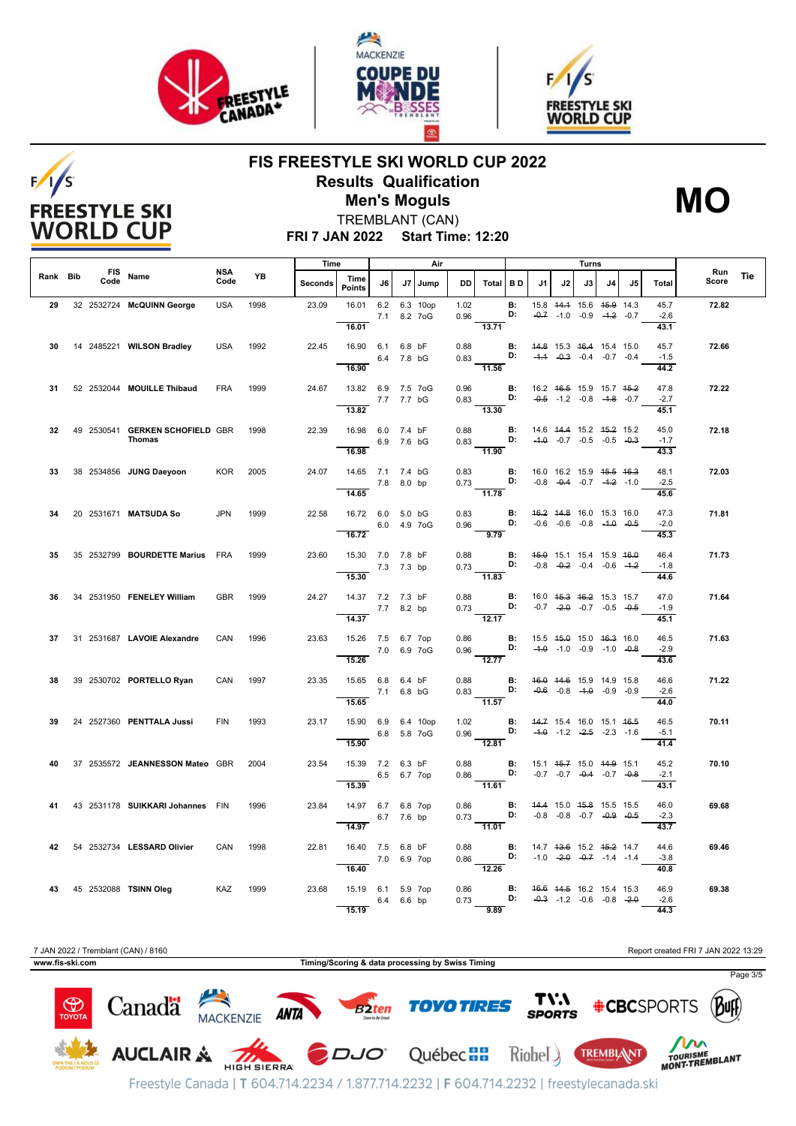

 $F/I/S$ 

**FREESTYLE SKI WORLD CUP** 





## **FIS FREESTYLE SKI WORLD CUP 2022 Results Qualification Men's Moguls MO**



TREMBLANT (CAN)

**FRI 7 JAN 2022 Start Time: 12:20**

|          |      |                                           |             | Time<br>Air |                |                                          |            |                              |              | Turns                                                                                                    |                 |    |                                                                                                |    |    |     |                                |              |            |
|----------|------|-------------------------------------------|-------------|-------------|----------------|------------------------------------------|------------|------------------------------|--------------|----------------------------------------------------------------------------------------------------------|-----------------|----|------------------------------------------------------------------------------------------------|----|----|-----|--------------------------------|--------------|------------|
| Rank Bib | Code | FIS Name                                  | NSA<br>Code | YB          | <b>Seconds</b> | Time<br><b>Points</b>                    | J6         | J7 Jump                      | DD           | Total BD                                                                                                 |                 | J1 | J2                                                                                             | J3 | J4 | .15 | <b>Total</b>                   | Run<br>Score | <b>Tie</b> |
| 29       |      | 32 2532724 McQUINN George                 | <b>USA</b>  | 1998        | 23.09          | 16.01<br>16.01                           |            | 6.2 6.3 10op<br>7.1 8.2 7 oG | 1.02         | 0.96<br>13.71                                                                                            | <b>B:</b><br>D: |    | 15.8 44.4 15.6 45.9 14.3<br>$-0.7$ $-1.0$ $-0.9$ $-4.2$ $-0.7$                                 |    |    |     | 45.7<br>$-2.6$<br>43.1         | 72.82        |            |
| 30       |      | 14 2485221 WILSON Bradley                 | <b>USA</b>  | 1992        | 22.45          | 16.90 6.1 6.8 bF<br>16.90                | 6.4 7.8 bG |                              | 0.88         | 0.83 <b>D:</b> $-4.4$ $-0.3$ $-0.4$ $-0.7$ $-0.4$<br>$-11.56$                                            |                 |    | <b>B:</b> 44.8 15.3 46.4 15.4 15.0                                                             |    |    |     | 45.7<br>$-1.5$<br>44.2         | 72.66        |            |
| 31       |      | 52 2532044 MOUILLE Thibaud                | <b>FRA</b>  | 1999        | 24.67          | 13.82 6.9 7.5 7oG<br>13.82               | 7.7 7.7 bG |                              | 0.96         | $0.83$ D:<br>13.30                                                                                       | B:              |    | 16.2 46.5 15.9 15.7 45.2<br>$-0.5$ $-1.2$ $-0.8$ $-4.8$ $-0.7$                                 |    |    |     | 47.8<br>$-2.7$<br>45.1         | 72.22        |            |
| 32       |      | 49 2530541 GERKEN SCHOFIELD GBR<br>Thomas |             | 1998        | 22.39          | 16.98 6.0 7.4 bF<br>6.9 7.6 bG<br>16.98  |            |                              | 0.88         | $0.83$ D: $-4.0$ $-0.7$ $-0.5$ $-0.5$ $-0.3$<br>$\frac{1}{11.90}$                                        | B:              |    | 14.6 44.4 15.2 45.2 15.2                                                                       |    |    |     | 45.0<br>$-1.7$<br>43.3         | 72.18        |            |
| 33       |      | 38 2534856 JUNG Daeyoon KOR               |             | 2005        | 24.07          | 14.65 7.1 7.4 bG<br>14.65                | 7.8 8.0 bp |                              | 0.83         | $0.73$ D:<br>$-11.78$                                                                                    | $\blacksquare$  |    | 16.0 16.2 15.9 <del>15.5</del> 16.3<br>$-0.8$ $-0.4$ $-0.7$ $-4.2$ $-1.0$                      |    |    |     | 48.1<br>$-2.5$<br>45.6         | 72.03        |            |
| 34       |      | 20 2531671 MATSUDA So                     | <b>JPN</b>  | 1999        | 22.58          | 16.72 6.0 5.0 bG<br>16.72                |            | 6.0 4.9 7 oG                 |              | 0.83 <b>B:</b><br>0.96 <b>D:</b><br>9.79                                                                 |                 |    | 46.2 44.8 16.0 15.3 16.0<br>$-0.6$ $-0.6$ $-0.8$ $-4.0$ $-0.5$                                 |    |    |     | 47.3<br>$-2.0$<br>45.3         | 71.81        |            |
| 35.      |      | 35 2532799 BOURDETTE Marius FRA           |             | 1999        | 23.60          | 15.30 7.0 7.8 bF<br>7.3 7.3 bp<br>15.30  |            |                              | 0.88         | $0.73$ <b>D:</b> $-0.8$ $-0.2$ $-0.4$ $-0.6$ $-4.2$<br>$\overline{11.83}$                                |                 |    | <b>B:</b> 45.0 15.1 15.4 15.9 46.0                                                             |    |    |     | 46.4<br>$-1.8$<br>44.6         | 71.73        |            |
| 36       |      | 34 2531950 FENELEY William                | <b>GBR</b>  | 1999        | 24.27          | 14.37 7.2 7.3 bF<br>14.37                | 7.7 8.2 bp |                              | 0.88         | $0.73 \frac{D!}{12.17}$                                                                                  | <b>B:</b>       |    | 16.0 45.3 46.2 15.3 15.7<br>$-0.7$ $-2.0$ $-0.7$ $-0.5$ $-0.5$                                 |    |    |     | 47.0<br>$-1.9$<br>45.1         | 71.64        |            |
| 37       |      | 31 2531687 LAVOIE Alexandre               | CAN         | 1996        | 23.63          | 15.26 7.5 6.7 7op<br>$-7.0$ 6.9 7oG      |            |                              | 0.86         | 0.96                                                                                                     | B:              |    | 15.5 <del>15.0</del> 15.0 <del>16.3</del> 16.0<br><b>D:</b> $-4.0$ $-1.0$ $-0.9$ $-1.0$ $-0.8$ |    |    |     | 46.5<br>$-2.9$                 | 71.63        |            |
| 38       |      | 39 2530702 PORTELLO Ryan                  | CAN         | 1997        | 23.35          | 15.26<br>15.65 6.8 6.4 bF<br>15.65       | 7.1 6.8 bG |                              |              | $\frac{1}{12.77}$<br>$0.88$ B:<br>$0.83$ D:<br>11.57                                                     |                 |    | 46.0 44.6 15.9 14.9 15.8<br>$-0.6$ $-0.8$ $-1.0$ $-0.9$ $-0.9$                                 |    |    |     | 43.6<br>46.6<br>$-2.6$<br>44.0 | 71.22        |            |
| 39       |      | 24 2527360 PENTTALA Jussi                 | <b>FIN</b>  | 1993        | 23.17          | 15.90 6.9 6.4 10op<br>15.90              |            | 6.8 5.8 7oG                  |              | 1.02 <b>B:</b> 44.7 15.4 16.0 15.1 46.5<br>0.96 <b>D:</b> -4.0 -1.2 -2.5 -2.3 -1.6<br>$\overline{12.81}$ |                 |    |                                                                                                |    |    |     | 46.5<br>$-5.1$<br>41.4         | 70.11        |            |
| 40       |      | 37 2535572 JEANNESSON Mateo GBR           |             | 2004        | 23.54          | 15.39 7.2 6.3 bF<br>6.5 6.7 7op<br>15.39 |            |                              | 0.88         | $0.86$ D: $-0.7$ $-0.7$ $-0.4$ $-0.7$ $-0.8$<br>$-11.61$                                                 |                 |    | <b>B:</b> 15.1 45.7 15.0 44.9 15.1                                                             |    |    |     | 45.2<br>$-2.1$<br>43.1         | 70.10        |            |
| 41       |      | 43 2531178 SUIKKARI Johannes FIN          |             | 1996        | 23.84          | 14.97 6.7 6.8 7op<br>14.97               | 6.7 7.6 bp |                              | 0.86         | $0.73$ D:                                                                                                | B:              |    | 44.4 15.0 45.8 15.5 15.5<br>$-0.8$ $-0.8$ $-0.7$ $-0.9$ $-0.5$                                 |    |    |     | 46.0<br>$-2.3$<br>43.7         | 69.68        |            |
| 42       |      | 54 2532734 LESSARD Olivier                | CAN         | 1998        | 22.81          | 16.40 7.5 6.8 bF<br>7.0 6.9 7op<br>16.40 |            |                              | 0.88         | 0.86<br>12.26                                                                                            | $\blacksquare$  |    | 14.7 <del>13.6</del> 15.2 <del>15.2</del> 14.7<br><b>D:</b> $-1.0$ $-2.0$ $-0.7$ $-1.4$ $-1.4$ |    |    |     | 44.6<br>$-3.8$<br>40.8         | 69.46        |            |
|          |      | 43 45 2532088 TSINN Oleg KAZ              |             | 1999        | 23.68          | 15.19 6.1 5.9 7op<br>15.19               | 6.4 6.6 bp |                              | 0.86<br>0.73 | 9.89                                                                                                     |                 |    | <b>B:</b> 46.6 44.5 16.2 15.4 15.3<br><b>D:</b> $-0.3$ $-1.2$ $-0.6$ $-0.8$ $-2.0$             |    |    |     | 46.9<br>$-2.6$<br>44.3         | 69.38        |            |

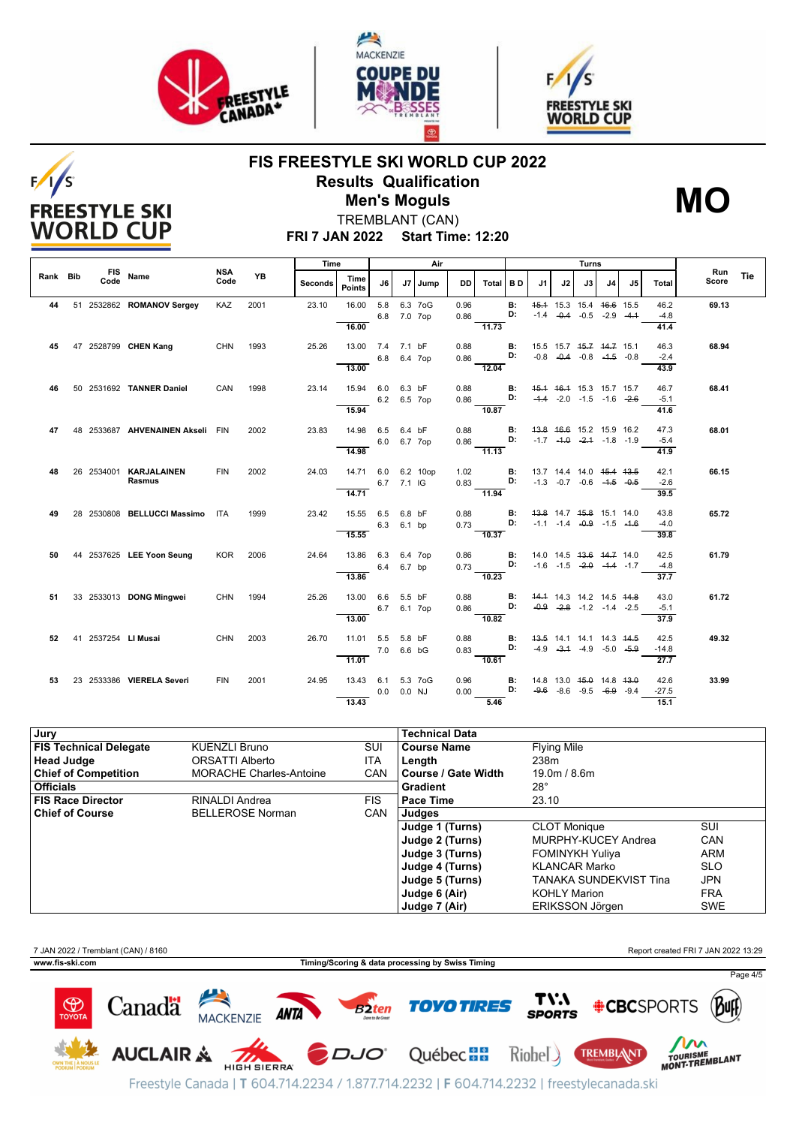

 $F/1/S$ 

**FREESTYLE SKI WORLD CUP** 





## **FIS FREESTYLE SKI WORLD CUP 2022 Results Qualification Men's Moguls MO**



TREMBLANT (CAN)

**FRI 7 JAN 2022 Start Time: 12:20**

|          |  |                                         |             |           | Time    |                       | Air                           |            |              |              | Turns    |                 |    |                      |    |                                                                           |                |                         |              |     |
|----------|--|-----------------------------------------|-------------|-----------|---------|-----------------------|-------------------------------|------------|--------------|--------------|----------|-----------------|----|----------------------|----|---------------------------------------------------------------------------|----------------|-------------------------|--------------|-----|
| Rank Bib |  | FIS Name                                | NSA<br>Code | <b>YB</b> | Seconds | Time<br><b>Points</b> | J6                            |            | J7 Jump      | DD.          | Total    | I B D           | J1 | J2                   | J3 | J <sub>4</sub>                                                            | J <sub>5</sub> | Total                   | Run<br>Score | Tie |
| 44       |  | 51 2532862 ROMANOV Sergey               | KAZ         | 2001      | 23.10   | 16.00<br>16.00        | 5.8<br>6.8                    | 7.0 7op    | 6.3 7oG      | 0.96<br>0.86 | 11.73    | <b>B:</b><br>D: |    | $-1.4$ $-0.4$ $-0.5$ |    | 45.4 15.3 15.4 46.6 15.5<br>$-2.9$ $-4.4$                                 |                | 46.2<br>$-4.8$<br>41.4  | 69.13        |     |
| 45       |  | 47 2528799 CHEN Kang                    | <b>CHN</b>  | 1993      | 25.26   | 13.00<br>13.00        | 7.4<br>6.8 6.4 7op            | 7.1 bF     |              | 0.88<br>0.86 | 12.04    | В:<br>D:        |    |                      |    | 15.5 15.7 45.7 44.7 15.1<br>$-0.8$ $-0.4$ $-0.8$ $-4.5$ $-0.8$            |                | 46.3<br>$-2.4$<br>43.9  | 68.94        |     |
| 46       |  | 50 2531692 TANNER Daniel                | CAN         | 1998      | 23.14   | 15.94<br>15.94        | 6.0 6.3 bF<br>6.2 6.5 7op     |            |              | 0.88<br>0.86 | 10.87    | В:<br>D:        |    |                      |    | 45.4 46.4 15.3 15.7 15.7<br>$-4.4$ $-2.0$ $-1.5$ $-1.6$ $-2.6$            |                | 46.7<br>$-5.1$<br>41.6  | 68.41        |     |
| 47       |  | 48 2533687 AHVENAINEN Akseli FIN        |             | 2002      | 23.83   | 14.98<br>14.98        | 6.5<br>6.0 6.7 7op            | 6.4 bF     |              | 0.88<br>0.86 | $-11.13$ | <b>B:</b><br>D: |    |                      |    | 43.8 46.6 15.2 15.9 16.2<br>$-1.7$ $-4.0$ $-2.4$ $-1.8$ $-1.9$            |                | 47.3<br>$-5.4$<br>41.9  | 68.01        |     |
| 48       |  | 26 2534001 KARJALAINEN<br><b>Rasmus</b> | <b>FIN</b>  | 2002      | 24.03   | 14.71<br>14.71        |                               | 6.7 7.1 IG | 6.0 6.2 10op | 1.02<br>0.83 | $-11.94$ | <b>B:</b><br>D: |    |                      |    | 13.7 14.4 14.0 <del>15.4 13.5</del><br>$-1.3$ $-0.7$ $-0.6$ $-4.5$ $-0.5$ |                | 42.1<br>$-2.6$<br>39.5  | 66.15        |     |
| 49       |  | 28 2530808 BELLUCCI Massimo             | <b>ITA</b>  | 1999      | 23.42   | 15.55<br>15.55        | 6.5<br>6.3 6.1 bp             | 6.8 bF     |              | 0.88<br>0.73 | 10.37    | <b>B:</b><br>D: |    |                      |    | 43.8 14.7 45.8 15.1 14.0<br>$-1.1$ $-1.4$ $-0.9$ $-1.5$ $-1.6$            |                | 43.8<br>$-4.0$<br>39.8  | 65.72        |     |
| 50       |  | 44 2537625 LEE Yoon Seung               | <b>KOR</b>  | 2006      | 24.64   | 13.86<br>13.86        | 6.3 6.4 7op<br>6.4            | 6.7 bp     |              | 0.86<br>0.73 | 10.23    | В:<br>D:        |    |                      |    | 14.0 14.5 43.6 44.7 14.0<br>$-1.6$ $-1.5$ $-2.0$ $-4.4$ $-1.7$            |                | 42.5<br>$-4.8$<br>37.7  | 61.79        |     |
| 51       |  | 33 2533013 DONG Mingwei                 | CHN 1994    |           | 25.26   | 13.00<br>13.00        | 6.6<br>6.7 6.1 7op            | 5.5 bF     |              | 0.88<br>0.86 | $-10.82$ | В:<br>D:        |    |                      |    | 44.4 14.3 14.2 14.5 <del>14.8</del><br>$-0.9$ $-2.8$ $-1.2$ $-1.4$ $-2.5$ |                | 43.0<br>$-5.1$<br>37.9  | 61.72        |     |
| 52       |  | 41 2537254 LI Musai                     | <b>CHN</b>  | 2003      | 26.70   | 11.01<br>11.01        | 5.5<br>7.0 6.6 bG             | 5.8 bF     |              | 0.88<br>0.83 | 10.61    | В:<br>D:        |    |                      |    | 43.5 14.1 14.1 14.3 44.5<br>$-4.9$ $-3.4$ $-4.9$ $-5.0$ $-5.9$            |                | 42.5<br>$-14.8$<br>27.7 | 49.32        |     |
| 53       |  | 23 2533386 VIERELA Severi               | <b>FIN</b>  | 2001      | 24.95   | 13.43<br>13.43        | 6.1 5.3 7oG<br>$0.0$ $0.0$ NJ |            |              | 0.96<br>0.00 | 5.46     | <b>B:</b><br>D: |    |                      |    | 14.8 13.0 45.0 14.8 43.0<br>$-9.6$ $-8.6$ $-9.5$ $-6.9$ $-9.4$            |                | 42.6<br>$-27.5$<br>15.1 | 33.99        |     |

| Jury                          |                                |            | Technical Data      |                               |            |
|-------------------------------|--------------------------------|------------|---------------------|-------------------------------|------------|
| <b>FIS Technical Delegate</b> | <b>KUENZLI Bruno</b>           | SUI        | <b>Course Name</b>  | <b>Flying Mile</b>            |            |
| Head Judge                    | <b>ORSATTI Alberto</b>         | ITA        | Length              | 238m                          |            |
| <b>Chief of Competition</b>   | <b>MORACHE Charles-Antoine</b> | <b>CAN</b> | Course / Gate Width | 19.0m / 8.6m                  |            |
| Officials                     |                                |            | Gradient            | $28^\circ$                    |            |
| <b>FIS Race Director</b>      | RINALDI Andrea                 | <b>FIS</b> | Pace Time           | 23.10                         |            |
| <b>Chief of Course</b>        | <b>BELLEROSE Norman</b>        | <b>CAN</b> | Judges              |                               |            |
|                               |                                |            | Judge 1 (Turns)     | <b>CLOT Monique</b>           | SUI        |
|                               |                                |            | Judge 2 (Turns)     | <b>MURPHY-KUCEY Andrea</b>    | <b>CAN</b> |
|                               |                                |            | Judge 3 (Turns)     | <b>FOMINYKH Yuliya</b>        | <b>ARM</b> |
|                               |                                |            | Judge 4 (Turns)     | <b>KLANCAR Marko</b>          | <b>SLO</b> |
|                               |                                |            | Judge 5 (Turns)     | <b>TANAKA SUNDEKVIST Tina</b> | JPN        |
|                               |                                |            | Judge 6 (Air)       | <b>KOHLY Marion</b>           | FRA        |
|                               |                                |            | Judge 7 (Air)       | <b>ERIKSSON Jörgen</b>        | <b>SWE</b> |